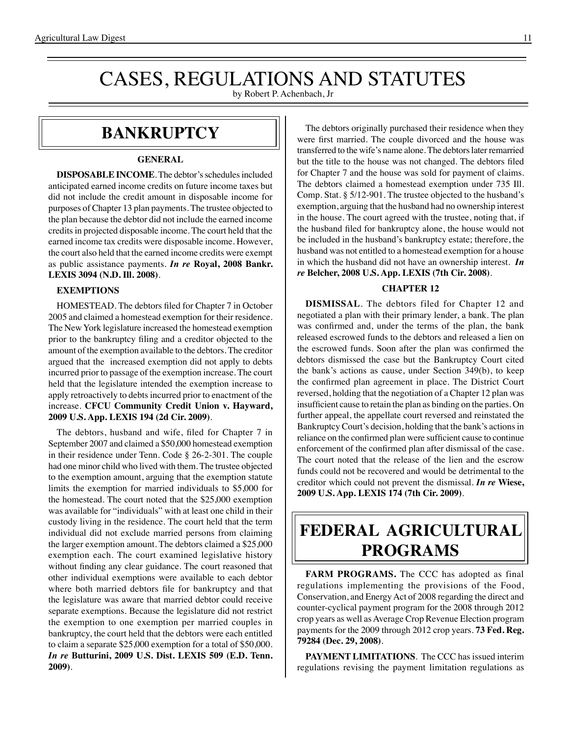# CASES, REGULATIONS AND STATUTES

by Robert P. Achenbach, Jr

### **BANKRUPTCY**

#### **GENERAL**

**DISPOSABLE INCOME**. The debtor's schedules included anticipated earned income credits on future income taxes but did not include the credit amount in disposable income for purposes of Chapter 13 plan payments. The trustee objected to the plan because the debtor did not include the earned income credits in projected disposable income. The court held that the earned income tax credits were disposable income. However, the court also held that the earned income credits were exempt as public assistance payments. *In re* **Royal, 2008 Bankr. LEXIS 3094 (N.D. Ill. 2008)**.

#### **EXEMPTIONS**

 HOMESTEAD. The debtors filed for Chapter 7 in October 2005 and claimed a homestead exemption for their residence. The New York legislature increased the homestead exemption prior to the bankruptcy filing and a creditor objected to the amount of the exemption available to the debtors. The creditor argued that the increased exemption did not apply to debts incurred prior to passage of the exemption increase. The court held that the legislature intended the exemption increase to apply retroactively to debts incurred prior to enactment of the increase. **CFCU Community Credit Union v. Hayward, 2009 U.S. App. LEXIS 194 (2d Cir. 2009)**.

 The debtors, husband and wife, filed for Chapter 7 in September 2007 and claimed a \$50,000 homestead exemption in their residence under Tenn. Code § 26-2-301. The couple had one minor child who lived with them. The trustee objected to the exemption amount, arguing that the exemption statute limits the exemption for married individuals to \$5,000 for the homestead. The court noted that the \$25,000 exemption was available for "individuals" with at least one child in their custody living in the residence. The court held that the term individual did not exclude married persons from claiming the larger exemption amount. The debtors claimed a \$25,000 exemption each. The court examined legislative history without finding any clear guidance. The court reasoned that other individual exemptions were available to each debtor where both married debtors file for bankruptcy and that the legislature was aware that married debtor could receive separate exemptions. Because the legislature did not restrict the exemption to one exemption per married couples in bankruptcy, the court held that the debtors were each entitled to claim a separate \$25,000 exemption for a total of \$50,000. *In re* **Butturini, 2009 U.S. Dist. LEXIS 509 (E.D. Tenn. 2009)**.

The debtors originally purchased their residence when they were first married. The couple divorced and the house was transferred to the wife's name alone. The debtors later remarried but the title to the house was not changed. The debtors filed for Chapter 7 and the house was sold for payment of claims. The debtors claimed a homestead exemption under 735 Ill. Comp. Stat. § 5/12-901. The trustee objected to the husband's exemption, arguing that the husband had no ownership interest in the house. The court agreed with the trustee, noting that, if the husband filed for bankruptcy alone, the house would not be included in the husband's bankruptcy estate; therefore, the husband was not entitled to a homestead exemption for a house in which the husband did not have an ownership interest. *In re* **Belcher, 2008 U.S. App. LEXIS (7th Cir. 2008)**.

#### **CHAPTER 12**

**DISMISSAL**. The debtors filed for Chapter 12 and negotiated a plan with their primary lender, a bank. The plan was confirmed and, under the terms of the plan, the bank released escrowed funds to the debtors and released a lien on the escrowed funds. Soon after the plan was confirmed the debtors dismissed the case but the Bankruptcy Court cited the bank's actions as cause, under Section 349(b), to keep the confirmed plan agreement in place. The District Court reversed, holding that the negotiation of a Chapter 12 plan was insufficient cause to retain the plan as binding on the parties. On further appeal, the appellate court reversed and reinstated the Bankruptcy Court's decision, holding that the bank's actions in reliance on the confirmed plan were sufficient cause to continue enforcement of the confirmed plan after dismissal of the case. The court noted that the release of the lien and the escrow funds could not be recovered and would be detrimental to the creditor which could not prevent the dismissal. *In re* **Wiese, 2009 U.S. App. LEXIS 174 (7th Cir. 2009)**.

## **federal agricultural programs**

**FARM PROGRAMS.** The CCC has adopted as final regulations implementing the provisions of the Food, Conservation, and Energy Act of 2008 regarding the direct and counter-cyclical payment program for the 2008 through 2012 crop years as well as Average Crop Revenue Election program payments for the 2009 through 2012 crop years. **73 Fed. Reg. 79284 (Dec. 29, 2008)**.

**PAYMENT LIMITATIONS**. The CCC has issued interim regulations revising the payment limitation regulations as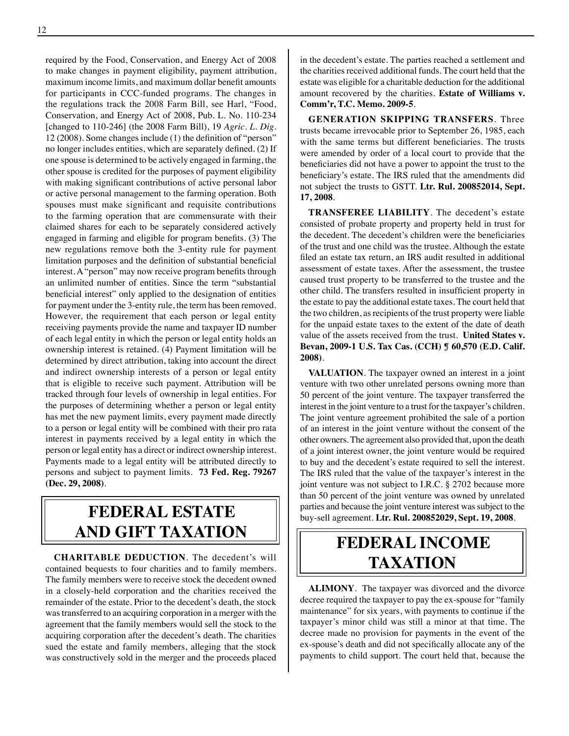required by the Food, Conservation, and Energy Act of 2008 to make changes in payment eligibility, payment attribution, maximum income limits, and maximum dollar benefit amounts for participants in CCC-funded programs. The changes in the regulations track the 2008 Farm Bill, see Harl, "Food, Conservation, and Energy Act of 2008, Pub. L. No. 110-234 [changed to 110-246] (the 2008 Farm Bill), 19 *Agric. L. Dig*. 12 (2008). Some changes include (1) the definition of "person" no longer includes entities, which are separately defined. (2) If one spouse is determined to be actively engaged in farming, the other spouse is credited for the purposes of payment eligibility with making significant contributions of active personal labor or active personal management to the farming operation. Both spouses must make significant and requisite contributions to the farming operation that are commensurate with their claimed shares for each to be separately considered actively engaged in farming and eligible for program benefits. (3) The new regulations remove both the 3-entity rule for payment limitation purposes and the definition of substantial beneficial interest. A "person" may now receive program benefits through an unlimited number of entities. Since the term "substantial beneficial interest" only applied to the designation of entities for payment under the 3-entity rule, the term has been removed. However, the requirement that each person or legal entity receiving payments provide the name and taxpayer ID number of each legal entity in which the person or legal entity holds an ownership interest is retained. (4) Payment limitation will be determined by direct attribution, taking into account the direct and indirect ownership interests of a person or legal entity that is eligible to receive such payment. Attribution will be tracked through four levels of ownership in legal entities. For the purposes of determining whether a person or legal entity has met the new payment limits, every payment made directly to a person or legal entity will be combined with their pro rata interest in payments received by a legal entity in which the person or legal entity has a direct or indirect ownership interest. Payments made to a legal entity will be attributed directly to persons and subject to payment limits. **73 Fed. Reg. 79267 (Dec. 29, 2008)**.

### **federal ESTATE AND GIFT taxation**

**CHARITABLE DEDUCTION**. The decedent's will contained bequests to four charities and to family members. The family members were to receive stock the decedent owned in a closely-held corporation and the charities received the remainder of the estate. Prior to the decedent's death, the stock was transferred to an acquiring corporation in a merger with the agreement that the family members would sell the stock to the acquiring corporation after the decedent's death. The charities sued the estate and family members, alleging that the stock was constructively sold in the merger and the proceeds placed in the decedent's estate. The parties reached a settlement and the charities received additional funds. The court held that the estate was eligible for a charitable deduction for the additional amount recovered by the charities. **Estate of Williams v. Comm'r, T.C. Memo. 2009-5**.

**GENERATION SKIPPING TRANSFERS**. Three trusts became irrevocable prior to September 26, 1985, each with the same terms but different beneficiaries. The trusts were amended by order of a local court to provide that the beneficiaries did not have a power to appoint the trust to the beneficiary's estate. The IRS ruled that the amendments did not subject the trusts to GSTT. **Ltr. Rul. 200852014, Sept. 17, 2008**.

**TRANSFEREE LIABILITY**. The decedent's estate consisted of probate property and property held in trust for the decedent. The decedent's children were the beneficiaries of the trust and one child was the trustee. Although the estate filed an estate tax return, an IRS audit resulted in additional assessment of estate taxes. After the assessment, the trustee caused trust property to be transferred to the trustee and the other child. The transfers resulted in insufficient property in the estate to pay the additional estate taxes. The court held that the two children, as recipients of the trust property were liable for the unpaid estate taxes to the extent of the date of death value of the assets received from the trust. **United States v. Bevan, 2009-1 U.S. Tax Cas. (CCH) ¶ 60,570 (E.D. Calif. 2008)**.

**VALUATION**. The taxpayer owned an interest in a joint venture with two other unrelated persons owning more than 50 percent of the joint venture. The taxpayer transferred the interest in the joint venture to a trust for the taxpayer's children. The joint venture agreement prohibited the sale of a portion of an interest in the joint venture without the consent of the other owners. The agreement also provided that, upon the death of a joint interest owner, the joint venture would be required to buy and the decedent's estate required to sell the interest. The IRS ruled that the value of the taxpayer's interest in the joint venture was not subject to I.R.C. § 2702 because more than 50 percent of the joint venture was owned by unrelated parties and because the joint venture interest was subject to the buy-sell agreement. **Ltr. Rul. 200852029, Sept. 19, 2008**.

### **federal income taxation**

**ALIMONY**. The taxpayer was divorced and the divorce decree required the taxpayer to pay the ex-spouse for "family maintenance" for six years, with payments to continue if the taxpayer's minor child was still a minor at that time. The decree made no provision for payments in the event of the ex-spouse's death and did not specifically allocate any of the payments to child support. The court held that, because the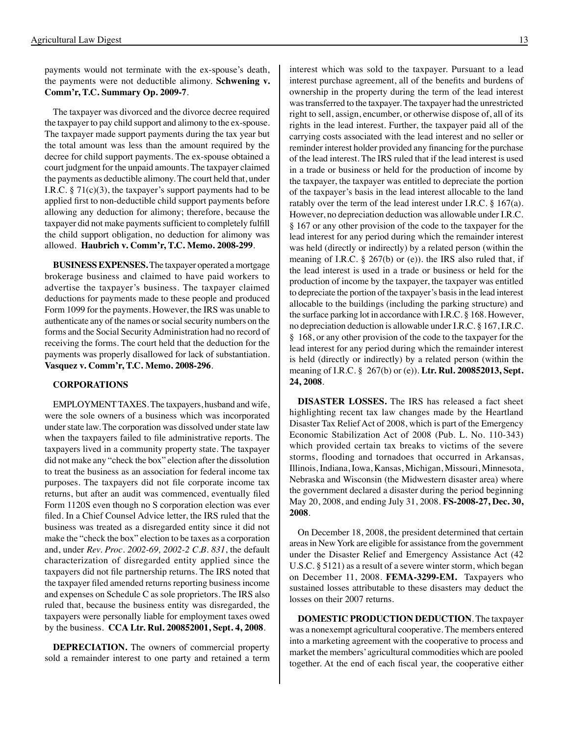payments would not terminate with the ex-spouse's death, the payments were not deductible alimony. **Schwening v. Comm'r, T.C. Summary Op. 2009-7**.

The taxpayer was divorced and the divorce decree required the taxpayer to pay child support and alimony to the ex-spouse. The taxpayer made support payments during the tax year but the total amount was less than the amount required by the decree for child support payments. The ex-spouse obtained a court judgment for the unpaid amounts. The taxpayer claimed the payments as deductible alimony. The court held that, under I.R.C.  $\S 71(c)(3)$ , the taxpayer's support payments had to be applied first to non-deductible child support payments before allowing any deduction for alimony; therefore, because the taxpayer did not make payments sufficient to completely fulfill the child support obligation, no deduction for alimony was allowed. **Haubrich v. Comm'r, T.C. Memo. 2008-299**.

**BUSINESS EXPENSES.** The taxpayer operated a mortgage brokerage business and claimed to have paid workers to advertise the taxpayer's business. The taxpayer claimed deductions for payments made to these people and produced Form 1099 for the payments. However, the IRS was unable to authenticate any of the names or social security numbers on the forms and the Social Security Administration had no record of receiving the forms. The court held that the deduction for the payments was properly disallowed for lack of substantiation. **Vasquez v. Comm'r, T.C. Memo. 2008-296**.

#### **CORPORATIONS**

EMPLOYMENT TAXES. The taxpayers, husband and wife, were the sole owners of a business which was incorporated under state law. The corporation was dissolved under state law when the taxpayers failed to file administrative reports. The taxpayers lived in a community property state. The taxpayer did not make any "check the box" election after the dissolution to treat the business as an association for federal income tax purposes. The taxpayers did not file corporate income tax returns, but after an audit was commenced, eventually filed Form 1120S even though no S corporation election was ever filed. In a Chief Counsel Advice letter, the IRS ruled that the business was treated as a disregarded entity since it did not make the "check the box" election to be taxes as a corporation and, under *Rev. Proc. 2002-69, 2002-2 C.B. 831*, the default characterization of disregarded entity applied since the taxpayers did not file partnership returns. The IRS noted that the taxpayer filed amended returns reporting business income and expenses on Schedule C as sole proprietors. The IRS also ruled that, because the business entity was disregarded, the taxpayers were personally liable for employment taxes owed by the business. **CCA Ltr. Rul. 200852001, Sept. 4, 2008**.

**DEPRECIATION.** The owners of commercial property sold a remainder interest to one party and retained a term interest which was sold to the taxpayer. Pursuant to a lead interest purchase agreement, all of the benefits and burdens of ownership in the property during the term of the lead interest was transferred to the taxpayer. The taxpayer had the unrestricted right to sell, assign, encumber, or otherwise dispose of, all of its rights in the lead interest. Further, the taxpayer paid all of the carrying costs associated with the lead interest and no seller or reminder interest holder provided any financing for the purchase of the lead interest. The IRS ruled that if the lead interest is used in a trade or business or held for the production of income by the taxpayer, the taxpayer was entitled to depreciate the portion of the taxpayer's basis in the lead interest allocable to the land ratably over the term of the lead interest under I.R.C. § 167(a). However, no depreciation deduction was allowable under I.R.C. § 167 or any other provision of the code to the taxpayer for the lead interest for any period during which the remainder interest was held (directly or indirectly) by a related person (within the meaning of I.R.C. § 267(b) or (e)). the IRS also ruled that, if the lead interest is used in a trade or business or held for the production of income by the taxpayer, the taxpayer was entitled to depreciate the portion of the taxpayer's basis in the lead interest allocable to the buildings (including the parking structure) and the surface parking lot in accordance with I.R.C. § 168. However, no depreciation deduction is allowable under I.R.C. § 167, I.R.C. § 168, or any other provision of the code to the taxpayer for the lead interest for any period during which the remainder interest is held (directly or indirectly) by a related person (within the meaning of I.R.C. § 267(b) or (e)). **Ltr. Rul. 200852013, Sept. 24, 2008**.

**DISASTER LOSSES.** The IRS has released a fact sheet highlighting recent tax law changes made by the Heartland Disaster Tax Relief Act of 2008, which is part of the Emergency Economic Stabilization Act of 2008 (Pub. L. No. 110-343) which provided certain tax breaks to victims of the severe storms, flooding and tornadoes that occurred in Arkansas, Illinois, Indiana, Iowa, Kansas, Michigan, Missouri, Minnesota, Nebraska and Wisconsin (the Midwestern disaster area) where the government declared a disaster during the period beginning May 20, 2008, and ending July 31, 2008. **FS-2008-27, Dec. 30, 2008**.

On December 18, 2008, the president determined that certain areas in New York are eligible for assistance from the government under the Disaster Relief and Emergency Assistance Act (42 U.S.C. § 5121) as a result of a severe winter storm, which began on December 11, 2008. **FEMA-3299-EM.** Taxpayers who sustained losses attributable to these disasters may deduct the losses on their 2007 returns.

**DOMESTIC PRODUCTION DEDUCTION**. The taxpayer was a nonexempt agricultural cooperative. The members entered into a marketing agreement with the cooperative to process and market the members' agricultural commodities which are pooled together. At the end of each fiscal year, the cooperative either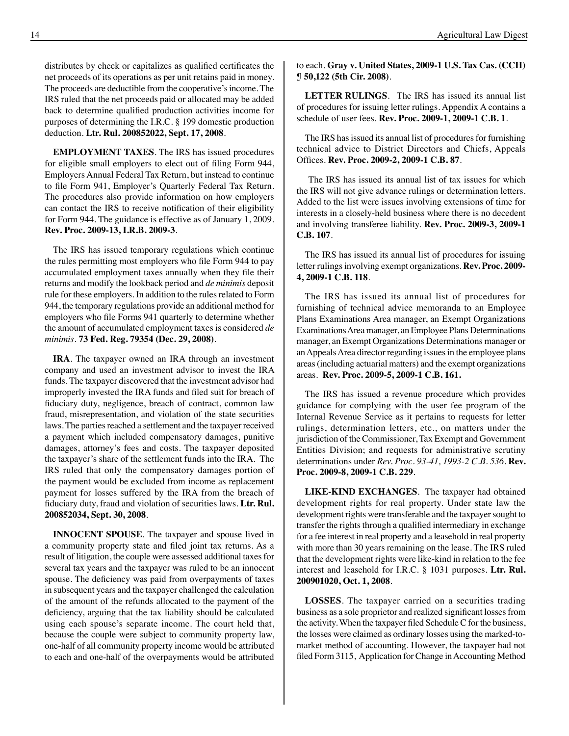distributes by check or capitalizes as qualified certificates the net proceeds of its operations as per unit retains paid in money. The proceeds are deductible from the cooperative's income. The IRS ruled that the net proceeds paid or allocated may be added back to determine qualified production activities income for purposes of determining the I.R.C. § 199 domestic production deduction. **Ltr. Rul. 200852022, Sept. 17, 2008**.

**EMPLOYMENT TAXES**. The IRS has issued procedures for eligible small employers to elect out of filing Form 944, Employers Annual Federal Tax Return, but instead to continue to file Form 941, Employer's Quarterly Federal Tax Return. The procedures also provide information on how employers can contact the IRS to receive notification of their eligibility for Form 944. The guidance is effective as of January 1, 2009. **Rev. Proc. 2009-13, I.R.B. 2009-3**.

The IRS has issued temporary regulations which continue the rules permitting most employers who file Form 944 to pay accumulated employment taxes annually when they file their returns and modify the lookback period and *de minimis* deposit rule for these employers. In addition to the rules related to Form 944, the temporary regulations provide an additional method for employers who file Forms 941 quarterly to determine whether the amount of accumulated employment taxes is considered *de minimis*. **73 Fed. Reg. 79354 (Dec. 29, 2008)**.

**IRA**. The taxpayer owned an IRA through an investment company and used an investment advisor to invest the IRA funds. The taxpayer discovered that the investment advisor had improperly invested the IRA funds and filed suit for breach of fiduciary duty, negligence, breach of contract, common law fraud, misrepresentation, and violation of the state securities laws. The parties reached a settlement and the taxpayer received a payment which included compensatory damages, punitive damages, attorney's fees and costs. The taxpayer deposited the taxpayer's share of the settlement funds into the IRA. The IRS ruled that only the compensatory damages portion of the payment would be excluded from income as replacement payment for losses suffered by the IRA from the breach of fiduciary duty, fraud and violation of securities laws. **Ltr. Rul. 200852034, Sept. 30, 2008**.

**INNOCENT SPOUSE**. The taxpayer and spouse lived in a community property state and filed joint tax returns. As a result of litigation, the couple were assessed additional taxes for several tax years and the taxpayer was ruled to be an innocent spouse. The deficiency was paid from overpayments of taxes in subsequent years and the taxpayer challenged the calculation of the amount of the refunds allocated to the payment of the deficiency, arguing that the tax liability should be calculated using each spouse's separate income. The court held that, because the couple were subject to community property law, one-half of all community property income would be attributed to each and one-half of the overpayments would be attributed to each. **Gray v. United States, 2009-1 U.S. Tax Cas. (CCH) ¶ 50,122 (5th Cir. 2008)**.

**LETTER RULINGS**. The IRS has issued its annual list of procedures for issuing letter rulings. Appendix A contains a schedule of user fees. **Rev. Proc. 2009-1, 2009-1 C.B. 1**.

The IRS has issued its annual list of procedures for furnishing technical advice to District Directors and Chiefs, Appeals Offices. **Rev. Proc. 2009-2, 2009-1 C.B. 87**.

 The IRS has issued its annual list of tax issues for which the IRS will not give advance rulings or determination letters. Added to the list were issues involving extensions of time for interests in a closely-held business where there is no decedent and involving transferee liability. **Rev. Proc. 2009-3, 2009-1 C.B. 107**.

The IRS has issued its annual list of procedures for issuing letter rulings involving exempt organizations. **Rev. Proc. 2009- 4, 2009-1 C.B. 118**.

The IRS has issued its annual list of procedures for furnishing of technical advice memoranda to an Employee Plans Examinations Area manager, an Exempt Organizations Examinations Area manager, an Employee Plans Determinations manager, an Exempt Organizations Determinations manager or an Appeals Area director regarding issues in the employee plans areas (including actuarial matters) and the exempt organizations areas. **Rev. Proc. 2009-5, 2009-1 C.B. 161.**

The IRS has issued a revenue procedure which provides guidance for complying with the user fee program of the Internal Revenue Service as it pertains to requests for letter rulings, determination letters, etc., on matters under the jurisdiction of the Commissioner, Tax Exempt and Government Entities Division; and requests for administrative scrutiny determinations under *Rev. Proc. 93-41, 1993-2 C.B. 536*. **Rev. Proc. 2009-8, 2009-1 C.B. 229**.

**LIKE-KIND EXCHANGES**. The taxpayer had obtained development rights for real property. Under state law the development rights were transferable and the taxpayer sought to transfer the rights through a qualified intermediary in exchange for a fee interest in real property and a leasehold in real property with more than 30 years remaining on the lease. The IRS ruled that the development rights were like-kind in relation to the fee interest and leasehold for I.R.C. § 1031 purposes. **Ltr. Rul. 200901020, Oct. 1, 2008**.

**LOSSES**. The taxpayer carried on a securities trading business as a sole proprietor and realized significant lossesfrom the activity. When the taxpayer filed Schedule  $C$  for the business, the losses were claimed as ordinary losses using the marked-tomarket method of accounting. However, the taxpayer had not filed Form 3115, Application for Change in Accounting Method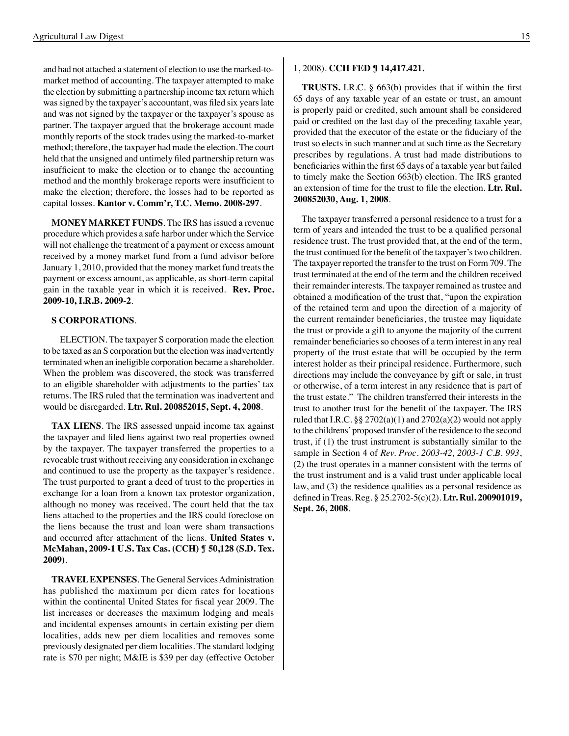and had not attached a statement of election to use the marked-tomarket method of accounting. The taxpayer attempted to make the election by submitting a partnership income tax return which was signed by the taxpayer's accountant, was filed six years late and was not signed by the taxpayer or the taxpayer's spouse as partner. The taxpayer argued that the brokerage account made monthly reports of the stock trades using the marked-to-market method; therefore, the taxpayer had made the election. The court held that the unsigned and untimely filed partnership return was insufficient to make the election or to change the accounting method and the monthly brokerage reports were insufficient to make the election; therefore, the losses had to be reported as capital losses. **Kantor v. Comm'r, T.C. Memo. 2008-297**.

**MONEY MARKET FUNDS**. The IRS has issued a revenue procedure which provides a safe harbor under which the Service will not challenge the treatment of a payment or excess amount received by a money market fund from a fund advisor before January 1, 2010, provided that the money market fund treats the payment or excess amount, as applicable, as short-term capital gain in the taxable year in which it is received. **Rev. Proc. 2009-10, I.R.B. 2009-2**.

#### **S CORPORATIONS**.

 ELECTION. The taxpayer S corporation made the election to be taxed as an S corporation but the election was inadvertently terminated when an ineligible corporation became a shareholder. When the problem was discovered, the stock was transferred to an eligible shareholder with adjustments to the parties' tax returns. The IRS ruled that the termination was inadvertent and would be disregarded. **Ltr. Rul. 200852015, Sept. 4, 2008**.

**TAX LIENS**. The IRS assessed unpaid income tax against the taxpayer and filed liens against two real properties owned by the taxpayer. The taxpayer transferred the properties to a revocable trust without receiving any consideration in exchange and continued to use the property as the taxpayer's residence. The trust purported to grant a deed of trust to the properties in exchange for a loan from a known tax protestor organization, although no money was received. The court held that the tax liens attached to the properties and the IRS could foreclose on the liens because the trust and loan were sham transactions and occurred after attachment of the liens. **United States v. McMahan, 2009-1 U.S. Tax Cas. (CCH) ¶ 50,128 (S.D. Tex. 2009)**.

**TRAVEL EXPENSES**. The General Services Administration has published the maximum per diem rates for locations within the continental United States for fiscal year 2009. The list increases or decreases the maximum lodging and meals and incidental expenses amounts in certain existing per diem localities, adds new per diem localities and removes some previously designated per diem localities. The standard lodging rate is \$70 per night; M&IE is \$39 per day (effective October

#### 1, 2008). **CCH FED ¶ 14,417.421.**

**TRUSTS.** I.R.C. § 663(b) provides that if within the first 65 days of any taxable year of an estate or trust, an amount is properly paid or credited, such amount shall be considered paid or credited on the last day of the preceding taxable year, provided that the executor of the estate or the fiduciary of the trust so elects in such manner and at such time as the Secretary prescribes by regulations. A trust had made distributions to beneficiaries within the first 65 days of a taxable year but failed to timely make the Section 663(b) election. The IRS granted an extension of time for the trust to file the election. **Ltr. Rul. 200852030, Aug. 1, 2008**.

The taxpayer transferred a personal residence to a trust for a term of years and intended the trust to be a qualified personal residence trust. The trust provided that, at the end of the term, the trust continued for the benefit of the taxpayer'stwo children. The taxpayer reported the transfer to the trust on Form 709. The trust terminated at the end of the term and the children received their remainder interests. The taxpayer remained as trustee and obtained a modification of the trust that, "upon the expiration of the retained term and upon the direction of a majority of the current remainder beneficiaries, the trustee may liquidate the trust or provide a gift to anyone the majority of the current remainder beneficiaries so chooses of a term interest in any real property of the trust estate that will be occupied by the term interest holder as their principal residence. Furthermore, such directions may include the conveyance by gift or sale, in trust or otherwise, of a term interest in any residence that is part of the trust estate." The children transferred their interests in the trust to another trust for the benefit of the taxpayer. The IRS ruled that I.R.C.  $\S\S 2702(a)(1)$  and  $2702(a)(2)$  would not apply to the childrens' proposed transfer of the residence to the second trust, if (1) the trust instrument is substantially similar to the sample in Section 4 of *Rev. Proc. 2003-42, 2003-1 C.B. 993*, (2) the trust operates in a manner consistent with the terms of the trust instrument and is a valid trust under applicable local law, and (3) the residence qualifies as a personal residence as defined in Treas. Reg. § 25.2702-5(c)(2). **Ltr. Rul. 200901019, Sept. 26, 2008**.